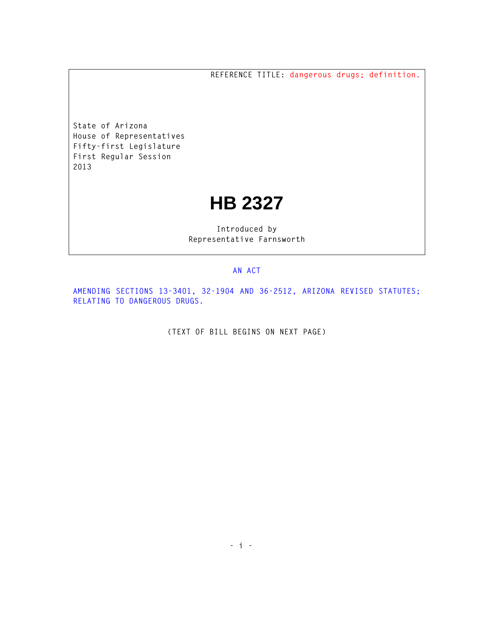**REFERENCE TITLE: dangerous drugs; definition.**

**State of Arizona House of Representatives Fifty-first Legislature First Regular Session 2013** 

## **HB 2327**

**Introduced by Representative Farnsworth** 

## **AN ACT**

**AMENDING SECTIONS 13-3401, 32-1904 AND 36-2512, ARIZONA REVISED STATUTES; RELATING TO DANGEROUS DRUGS.** 

**(TEXT OF BILL BEGINS ON NEXT PAGE)**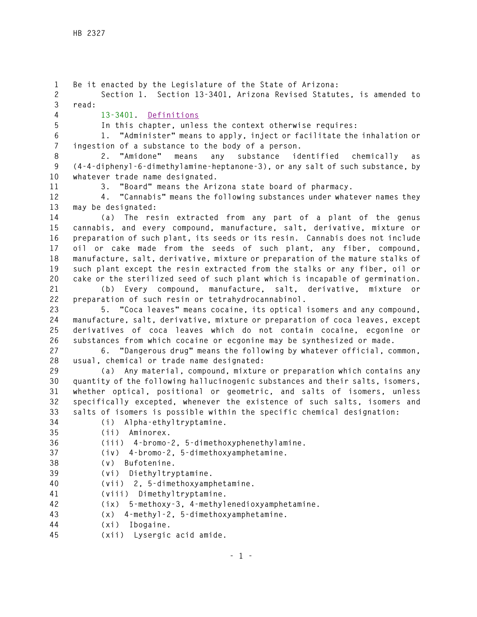**1 Be it enacted by the Legislature of the State of Arizona: 2 Section 1. Section 13-3401, Arizona Revised Statutes, is amended to 3 read: 4 13-3401. Definitions 5 In this chapter, unless the context otherwise requires: 6 1. "Administer" means to apply, inject or facilitate the inhalation or 7 ingestion of a substance to the body of a person. 8 2. "Amidone" means any substance identified chemically as 9 (4-4-diphenyl-6-dimethylamine-heptanone-3), or any salt of such substance, by 10 whatever trade name designated. 11 3. "Board" means the Arizona state board of pharmacy. 12 4. "Cannabis" means the following substances under whatever names they 13 may be designated: 14 (a) The resin extracted from any part of a plant of the genus 15 cannabis, and every compound, manufacture, salt, derivative, mixture or 16 preparation of such plant, its seeds or its resin. Cannabis does not include 17 oil or cake made from the seeds of such plant, any fiber, compound, 18 manufacture, salt, derivative, mixture or preparation of the mature stalks of 19 such plant except the resin extracted from the stalks or any fiber, oil or 20 cake or the sterilized seed of such plant which is incapable of germination. 21 (b) Every compound, manufacture, salt, derivative, mixture or 22 preparation of such resin or tetrahydrocannabinol. 23 5. "Coca leaves" means cocaine, its optical isomers and any compound, 24 manufacture, salt, derivative, mixture or preparation of coca leaves, except 25 derivatives of coca leaves which do not contain cocaine, ecgonine or 26 substances from which cocaine or ecgonine may be synthesized or made. 27 6. "Dangerous drug" means the following by whatever official, common, 28 usual, chemical or trade name designated: 29 (a) Any material, compound, mixture or preparation which contains any 30 quantity of the following hallucinogenic substances and their salts, isomers, 31 whether optical, positional or geometric, and salts of isomers, unless 32 specifically excepted, whenever the existence of such salts, isomers and 33 salts of isomers is possible within the specific chemical designation: 34 (i) Alpha-ethyltryptamine. 35 (ii) Aminorex. 36 (iii) 4-bromo-2, 5-dimethoxyphenethylamine. 37 (iv) 4-bromo-2, 5-dimethoxyamphetamine. 38 (v) Bufotenine. 39 (vi) Diethyltryptamine. 40 (vii) 2, 5-dimethoxyamphetamine. 41 (viii) Dimethyltryptamine. 42 (ix) 5-methoxy-3, 4-methylenedioxyamphetamine. 43 (x) 4-methyl-2, 5-dimethoxyamphetamine. 44 (xi) Ibogaine. 45 (xii) Lysergic acid amide.**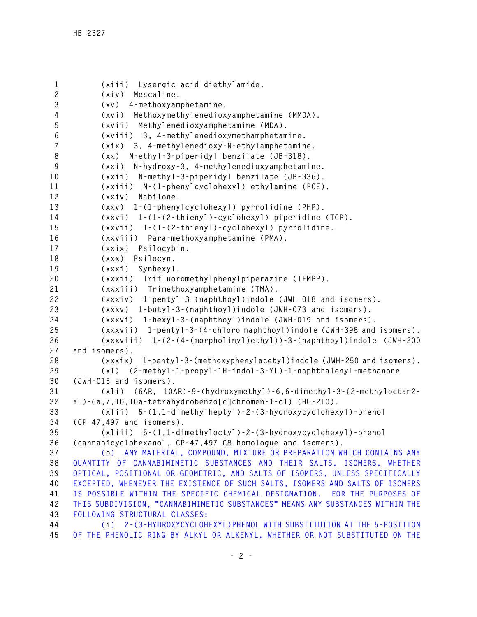```
1 (xiii) Lysergic acid diethylamide. 
2 (xiv) Mescaline. 
3 (xv) 4-methoxyamphetamine. 
4 (xvi) Methoxymethylenedioxyamphetamine (MMDA). 
5 (xvii) Methylenedioxyamphetamine (MDA). 
6 (xviii) 3, 4-methylenedioxymethamphetamine. 
7 (xix) 3, 4-methylenedioxy-N-ethylamphetamine. 
8 (xx) N-ethyl-3-piperidyl benzilate (JB-318). 
9 (xxi) N-hydroxy-3, 4-methylenedioxyamphetamine. 
10 (xxii) N-methyl-3-piperidyl benzilate (JB-336). 
11 (xxiii) N-(1-phenylcyclohexyl) ethylamine (PCE). 
12 (xxiv) Nabilone. 
13 (xxv) 1-(1-phenylcyclohexyl) pyrrolidine (PHP). 
14 (xxvi) 1-(1-(2-thienyl)-cyclohexyl) piperidine (TCP). 
15 (xxvii) 1-(1-(2-thienyl)-cyclohexyl) pyrrolidine. 
16 (xxviii) Para-methoxyamphetamine (PMA). 
17 (xxix) Psilocybin. 
18 (xxx) Psilocyn. 
19 (xxxi) Synhexyl. 
20 (xxxii) Trifluoromethylphenylpiperazine (TFMPP). 
21 (xxxiii) Trimethoxyamphetamine (TMA). 
22 (xxxiv) 1-pentyl-3-(naphthoyl)indole (JWH-018 and isomers). 
23 (xxxv) 1-butyl-3-(naphthoyl)indole (JWH-073 and isomers). 
24 (xxxvi) 1-hexyl-3-(naphthoyl)indole (JWH-019 and isomers). 
25 (xxxvii) 1-pentyl-3-(4-chloro naphthoyl)indole (JWH-398 and isomers). 
26 (xxxviii) 1-(2-(4-(morpholinyl)ethyl))-3-(naphthoyl)indole (JWH-200 
27 and isomers). 
28 (xxxix) 1-pentyl-3-(methoxyphenylacetyl)indole (JWH-250 and isomers). 
29 (xl) (2-methyl-1-propyl-1H-indol-3-YL)-1-naphthalenyl-methanone 
30 (JWH-015 and isomers). 
31 (xli) (6AR, 10AR)-9-(hydroxymethyl)-6,6-dimethyl-3-(2-methyloctan2-
32 YL)-6a,7,10,10a-tetrahydrobenzo[c]chromen-1-ol) (HU-210). 
33 (xlii) 5-(1,1-dimethylheptyl)-2-(3-hydroxycyclohexyl)-phenol 
34 (CP 47,497 and isomers). 
35 (xliii) 5-(1,1-dimethyloctyl)-2-(3-hydroxycyclohexyl)-phenol 
36 (cannabicyclohexanol, CP-47,497 C8 homologue and isomers). 
37 (b) ANY MATERIAL, COMPOUND, MIXTURE OR PREPARATION WHICH CONTAINS ANY 
38 QUANTITY OF CANNABIMIMETIC SUBSTANCES AND THEIR SALTS, ISOMERS, WHETHER 
39 OPTICAL, POSITIONAL OR GEOMETRIC, AND SALTS OF ISOMERS, UNLESS SPECIFICALLY 
40 EXCEPTED, WHENEVER THE EXISTENCE OF SUCH SALTS, ISOMERS AND SALTS OF ISOMERS 
41 IS POSSIBLE WITHIN THE SPECIFIC CHEMICAL DESIGNATION. FOR THE PURPOSES OF 
42 THIS SUBDIVISION, "CANNABIMIMETIC SUBSTANCES" MEANS ANY SUBSTANCES WITHIN THE 
43 FOLLOWING STRUCTURAL CLASSES: 
44 (i) 2-(3-HYDROXYCYCLOHEXYL)PHENOL WITH SUBSTITUTION AT THE 5-POSITION 
45 OF THE PHENOLIC RING BY ALKYL OR ALKENYL, WHETHER OR NOT SUBSTITUTED ON THE
```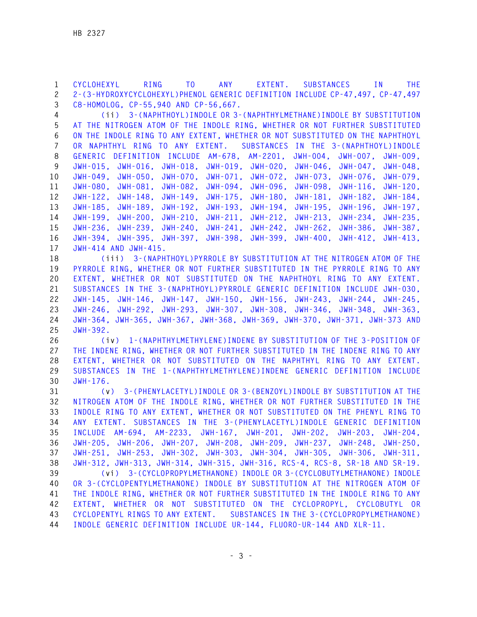**1 CYCLOHEXYL RING TO ANY EXTENT. SUBSTANCES IN THE 2 2-(3-HYDROXYCYCLOHEXYL)PHENOL GENERIC DEFINITION INCLUDE CP-47,497, CP-47,497 3 C8-HOMOLOG, CP-55,940 AND CP-56,667.** 

**4 (ii) 3-(NAPHTHOYL)INDOLE OR 3-(NAPHTHYLMETHANE)INDOLE BY SUBSTITUTION 5 AT THE NITROGEN ATOM OF THE INDOLE RING, WHETHER OR NOT FURTHER SUBSTITUTED 6 ON THE INDOLE RING TO ANY EXTENT, WHETHER OR NOT SUBSTITUTED ON THE NAPHTHOYL 7 OR NAPHTHYL RING TO ANY EXTENT. SUBSTANCES IN THE 3-(NAPHTHOYL)INDOLE 8 GENERIC DEFINITION INCLUDE AM-678, AM-2201, JWH-004, JWH-007, JWH-009, 9 JWH-015, JWH-016, JWH-018, JWH-019, JWH-020, JWH-046, JWH-047, JWH-048, 10 JWH-049, JWH-050, JWH-070, JWH-071, JWH-072, JWH-073, JWH-076, JWH-079, 11 JWH-080, JWH-081, JWH-082, JWH-094, JWH-096, JWH-098, JWH-116, JWH-120, 12 JWH-122, JWH-148, JWH-149, JWH-175, JWH-180, JWH-181, JWH-182, JWH-184, 13 JWH-185, JWH-189, JWH-192, JWH-193, JWH-194, JWH-195, JWH-196, JWH-197, 14 JWH-199, JWH-200, JWH-210, JWH-211, JWH-212, JWH-213, JWH-234, JWH-235, 15 JWH-236, JWH-239, JWH-240, JWH-241, JWH-242, JWH-262, JWH-386, JWH-387, 16 JWH-394, JWH-395, JWH-397, JWH-398, JWH-399, JWH-400, JWH-412, JWH-413, 17 JWH-414 AND JWH-415.** 

**18 (iii) 3-(NAPHTHOYL)PYRROLE BY SUBSTITUTION AT THE NITROGEN ATOM OF THE 19 PYRROLE RING, WHETHER OR NOT FURTHER SUBSTITUTED IN THE PYRROLE RING TO ANY 20 EXTENT, WHETHER OR NOT SUBSTITUTED ON THE NAPHTHOYL RING TO ANY EXTENT. 21 SUBSTANCES IN THE 3-(NAPHTHOYL)PYRROLE GENERIC DEFINITION INCLUDE JWH-030, 22 JWH-145, JWH-146, JWH-147, JWH-150, JWH-156, JWH-243, JWH-244, JWH-245, 23 JWH-246, JWH-292, JWH-293, JWH-307, JWH-308, JWH-346, JWH-348, JWH-363, 24 JWH-364, JWH-365, JWH-367, JWH-368, JWH-369, JWH-370, JWH-371, JWH-373 AND 25 JWH-392.** 

**26 (iv) 1-(NAPHTHYLMETHYLENE)INDENE BY SUBSTITUTION OF THE 3-POSITION OF 27 THE INDENE RING, WHETHER OR NOT FURTHER SUBSTITUTED IN THE INDENE RING TO ANY 28 EXTENT, WHETHER OR NOT SUBSTITUTED ON THE NAPHTHYL RING TO ANY EXTENT. 29 SUBSTANCES IN THE 1-(NAPHTHYLMETHYLENE)INDENE GENERIC DEFINITION INCLUDE 30 JWH-176.** 

**31 (v) 3-(PHENYLACETYL)INDOLE OR 3-(BENZOYL)INDOLE BY SUBSTITUTION AT THE 32 NITROGEN ATOM OF THE INDOLE RING, WHETHER OR NOT FURTHER SUBSTITUTED IN THE 33 INDOLE RING TO ANY EXTENT, WHETHER OR NOT SUBSTITUTED ON THE PHENYL RING TO 34 ANY EXTENT. SUBSTANCES IN THE 3-(PHENYLACETYL)INDOLE GENERIC DEFINITION 35 INCLUDE AM-694, AM-2233, JWH-167, JWH-201, JWH-202, JWH-203, JWH-204, 36 JWH-205, JWH-206, JWH-207, JWH-208, JWH-209, JWH-237, JWH-248, JWH-250, 37 JWH-251, JWH-253, JWH-302, JWH-303, JWH-304, JWH-305, JWH-306, JWH-311, 38 JWH-312, JWH-313, JWH-314, JWH-315, JWH-316, RCS-4, RCS-8, SR-18 AND SR-19. 39 (vi) 3-(CYCLOPROPYLMETHANONE) INDOLE OR 3-(CYCLOBUTYLMETHANONE) INDOLE 40 OR 3-(CYCLOPENTYLMETHANONE) INDOLE BY SUBSTITUTION AT THE NITROGEN ATOM OF 41 THE INDOLE RING, WHETHER OR NOT FURTHER SUBSTITUTED IN THE INDOLE RING TO ANY 42 EXTENT, WHETHER OR NOT SUBSTITUTED ON THE CYCLOPROPYL, CYCLOBUTYL OR 43 CYCLOPENTYL RINGS TO ANY EXTENT. SUBSTANCES IN THE 3-(CYCLOPROPYLMETHANONE) 44 INDOLE GENERIC DEFINITION INCLUDE UR-144, FLUORO-UR-144 AND XLR-11.**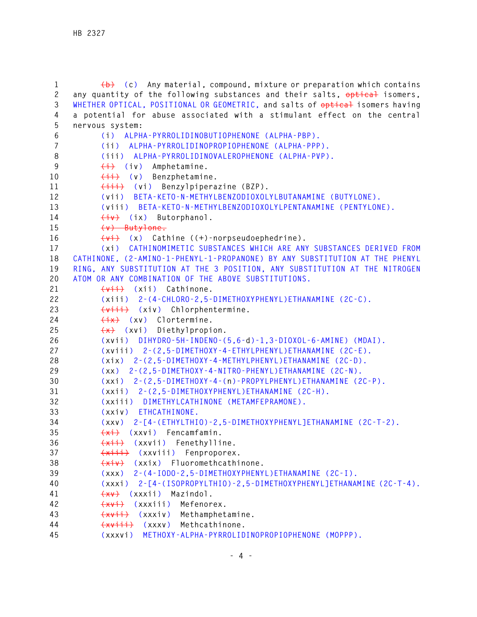```
1 (b) (c) Any material, compound, mixture or preparation which contains 
2 any quantity of the following substances and their salts, optical isomers,
3 WHETHER OPTICAL, POSITIONAL OR GEOMETRIC, and salts of optical isomers having 
4 a potential for abuse associated with a stimulant effect on the central 
5 nervous system: 
6 (i) ALPHA-PYRROLIDINOBUTIOPHENONE (ALPHA-PBP). 
7 (ii) ALPHA-PYRROLIDINOPROPIOPHENONE (ALPHA-PPP). 
8 (iii) ALPHA-PYRROLIDINOVALEROPHENONE (ALPHA-PVP). 
9 (i) (iv) Amphetamine. 
10 <del>(ii)</del> (v) Benzphetamine.
11 (iii) (vi) Benzylpiperazine (BZP). 
12 (vii) BETA-KETO-N-METHYLBENZODIOXOLYLBUTANAMINE (BUTYLONE). 
13 (viii) BETA-KETO-N-METHYLBENZODIOXOLYLPENTANAMINE (PENTYLONE). 
14 (iv) (ix) Butorphanol. 
15 (v) Butylone.
16 (vi) (x) Cathine ((+)-norpseudoephedrine). 
17 (xi) CATHINOMIMETIC SUBSTANCES WHICH ARE ANY SUBSTANCES DERIVED FROM 
18 CATHINONE, (2-AMINO-1-PHENYL-1-PROPANONE) BY ANY SUBSTITUTION AT THE PHENYL 
19 RING, ANY SUBSTITUTION AT THE 3 POSITION, ANY SUBSTITUTION AT THE NITROGEN 
20 ATOM OR ANY COMBINATION OF THE ABOVE SUBSTITUTIONS. 
21 (vii) (xii) Cathinone. 
22 (xiii) 2-(4-CHLORO-2,5-DIMETHOXYPHENYL)ETHANAMINE (2C-C). 
23 (viii) (xiv) Chlorphentermine. 
24 (ix) (xv) Clortermine. 
25 (x) (xvi) Diethylpropion. 
26 (xvii) DIHYDRO-5H-INDENO-(5,6-d)-1,3-DIOXOL-6-AMINE) (MDAI). 
27 (xviii) 2-(2,5-DIMETHOXY-4-ETHYLPHENYL)ETHANAMINE (2C-E). 
28 (xix) 2-(2,5-DIMETHOXY-4-METHYLPHENYL)ETHANAMINE (2C-D). 
29 (xx) 2-(2,5-DIMETHOXY-4-NITRO-PHENYL)ETHANAMINE (2C-N). 
30 (xxi) 2-(2,5-DIMETHOXY-4-(n)-PROPYLPHENYL)ETHANAMINE (2C-P). 
31 (xxii) 2-(2,5-DIMETHOXYPHENYL)ETHANAMINE (2C-H). 
32 (xxiii) DIMETHYLCATHINONE (METAMFEPRAMONE). 
33 (xxiv) ETHCATHINONE. 
34 (xxv) 2-[4-(ETHYLTHIO)-2,5-DIMETHOXYPHENYL]ETHANAMINE (2C-T-2). 
35 (xi) (xxvi) Fencamfamin. 
36 (xii) (xxvii) Fenethylline. 
37 (xiii) (xxviii) Fenproporex. 
38 (xiv) (xxix) Fluoromethcathinone. 
39 (xxx) 2-(4-IODO-2,5-DIMETHOXYPHENYL)ETHANAMINE (2C-I). 
40 (xxxi) 2-[4-(ISOPROPYLTHIO)-2,5-DIMETHOXYPHENYL]ETHANAMINE (2C-T-4).
41 (xv) (xxxii) Mazindol. 
42 (xvi) (xxxiii) Mefenorex. 
43 (xvii) (xxxiv) Methamphetamine. 
44 (xviii) (xxxv) Methcathinone. 
45 (xxxvi) METHOXY-ALPHA-PYRROLIDINOPROPIOPHENONE (MOPPP).
```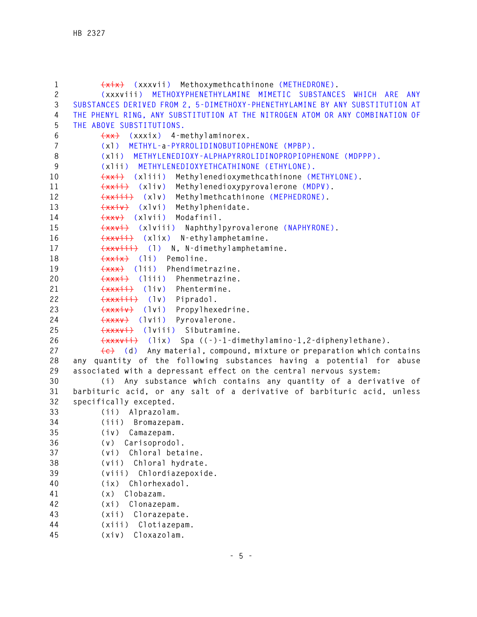```
1 (xix) (xxxvii) Methoxymethcathinone (METHEDRONE). 
2 (xxxviii) METHOXYPHENETHYLAMINE MIMETIC SUBSTANCES WHICH ARE ANY 
3 SUBSTANCES DERIVED FROM 2, 5-DIMETHOXY-PHENETHYLAMINE BY ANY SUBSTITUTION AT 
4 THE PHENYL RING, ANY SUBSTITUTION AT THE NITROGEN ATOM OR ANY COMBINATION OF 
5 THE ABOVE SUBSTITUTIONS. 
6 (xx) (xxxix) 4-methylaminorex. 
7 (xl) METHYL-a-PYRROLIDINOBUTIOPHENONE (MPBP). 
8 (xli) METHYLENEDIOXY-ALPHAPYRROLIDINOPROPIOPHENONE (MDPPP). 
9 (xlii) METHYLENEDIOXYETHCATHINONE (ETHYLONE). 
10 (xxi) (xliii) Methylenedioxymethcathinone (METHYLONE). 
11 (xxii) (xliv) Methylenedioxypyrovalerone (MDPV). 
12 (xxiii) (xlv) Methylmethcathinone (MEPHEDRONE). 
13 (xxiv) (xlvi) Methylphenidate. 
14 (xxv) (xlvii) Modafinil. 
15 (xxvi) (xlviii) Naphthylpyrovalerone (NAPHYRONE). 
16 (xxvii) (xlix) N-ethylamphetamine. 
17 (xxviii) (l) N, N-dimethylamphetamine. 
18 (xxix) (li) Pemoline. 
19 (xxx) (lii) Phendimetrazine. 
20 (xxxi) (liii) Phenmetrazine. 
21 (xxxii) (liv) Phentermine. 
22 (xxxiii) (lv) Pipradol. 
23 (xxxiv) (lvi) Propylhexedrine. 
24 (xxxv) (lvii) Pyrovalerone. 
25 (xxxvi) (lviii) Sibutramine. 
26 (xxxvii) (lix) Spa ((-)-1-dimethylamino-1,2-diphenylethane). 
27 (c) (d) Any material, compound, mixture or preparation which contains 
28 any quantity of the following substances having a potential for abuse 
29 associated with a depressant effect on the central nervous system: 
30 (i) Any substance which contains any quantity of a derivative of 
31 barbituric acid, or any salt of a derivative of barbituric acid, unless 
32 specifically excepted. 
33 (ii) Alprazolam. 
34 (iii) Bromazepam. 
35 (iv) Camazepam. 
36 (v) Carisoprodol. 
37 (vi) Chloral betaine. 
38 (vii) Chloral hydrate. 
39 (viii) Chlordiazepoxide. 
40 (ix) Chlorhexadol. 
41 (x) Clobazam. 
42 (xi) Clonazepam. 
43 (xii) Clorazepate. 
44 (xiii) Clotiazepam. 
45 (xiv) Cloxazolam.
```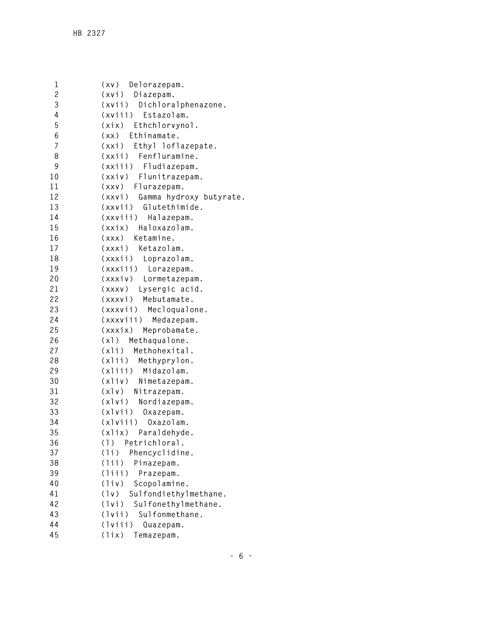```
1 (xv) Delorazepam. 
2 (xvi) Diazepam. 
3 (xvii) Dichloralphenazone. 
4 (xviii) Estazolam. 
5 (xix) Ethchlorvynol. 
6 (xx) Ethinamate. 
7 (xxi) Ethyl loflazepate. 
8 (xxii) Fenfluramine. 
9 (xxiii) Fludiazepam. 
10 (xxiv) Flunitrazepam. 
11 (xxv) Flurazepam. 
12 (xxvi) Gamma hydroxy butyrate. 
13 (xxvii) Glutethimide. 
14 (xxviii) Halazepam. 
15 (xxix) Haloxazolam. 
16 (xxx) Ketamine. 
17 (xxxi) Ketazolam. 
18 (xxxii) Loprazolam. 
19 (xxxiii) Lorazepam. 
20 (xxxiv) Lormetazepam. 
21 (xxxv) Lysergic acid. 
22 (xxxvi) Mebutamate. 
23 (xxxvii) Mecloqualone. 
24 (xxxviii) Medazepam. 
25 (xxxix) Meprobamate. 
26 (xl) Methaqualone. 
27 (xli) Methohexital. 
28 (xlii) Methyprylon. 
29 (xliii) Midazolam. 
30 (xliv) Nimetazepam. 
31 (xlv) Nitrazepam. 
32 (xlvi) Nordiazepam. 
33 (xlvii) Oxazepam. 
34 (xlviii) Oxazolam. 
35 (xlix) Paraldehyde. 
36 (l) Petrichloral. 
37 (li) Phencyclidine. 
38 (lii) Pinazepam. 
39 (liii) Prazepam. 
40 (liv) Scopolamine. 
41 (lv) Sulfondiethylmethane. 
42 (lvi) Sulfonethylmethane. 
43 (lvii) Sulfonmethane. 
44 (lviii) Quazepam. 
45 (lix) Temazepam.
```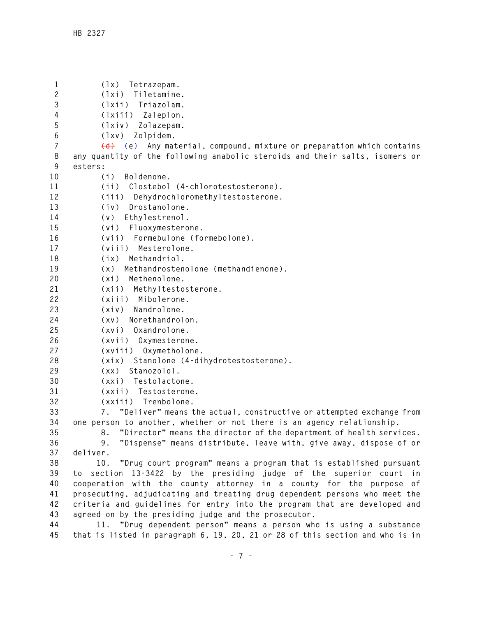**1 (lx) Tetrazepam. 2 (lxi) Tiletamine. 3 (lxii) Triazolam. 4 (lxiii) Zaleplon. 5 (lxiv) Zolazepam. 6 (lxv) Zolpidem. 7 (d) (e) Any material, compound, mixture or preparation which contains 8 any quantity of the following anabolic steroids and their salts, isomers or 9 esters: 10 (i) Boldenone. 11 (ii) Clostebol (4-chlorotestosterone). 12 (iii) Dehydrochloromethyltestosterone. 13 (iv) Drostanolone. 14 (v) Ethylestrenol. 15 (vi) Fluoxymesterone. 16 (vii) Formebulone (formebolone). 17 (viii) Mesterolone. 18 (ix) Methandriol. 19 (x) Methandrostenolone (methandienone). 20 (xi) Methenolone. 21 (xii) Methyltestosterone. 22 (xiii) Mibolerone. 23 (xiv) Nandrolone. 24 (xv) Norethandrolon. 25 (xvi) Oxandrolone. 26 (xvii) Oxymesterone. 27 (xviii) Oxymetholone. 28 (xix) Stanolone (4-dihydrotestosterone). 29 (xx) Stanozolol. 30 (xxi) Testolactone. 31 (xxii) Testosterone. 32 (xxiii) Trenbolone. 33 7. "Deliver" means the actual, constructive or attempted exchange from 34 one person to another, whether or not there is an agency relationship. 35 8. "Director" means the director of the department of health services. 36 9. "Dispense" means distribute, leave with, give away, dispose of or 37 deliver. 38 10. "Drug court program" means a program that is established pursuant 39 to section 13-3422 by the presiding judge of the superior court in 40 cooperation with the county attorney in a county for the purpose of 41 prosecuting, adjudicating and treating drug dependent persons who meet the 42 criteria and guidelines for entry into the program that are developed and 43 agreed on by the presiding judge and the prosecutor. 44 11. "Drug dependent person" means a person who is using a substance 45 that is listed in paragraph 6, 19, 20, 21 or 28 of this section and who is in**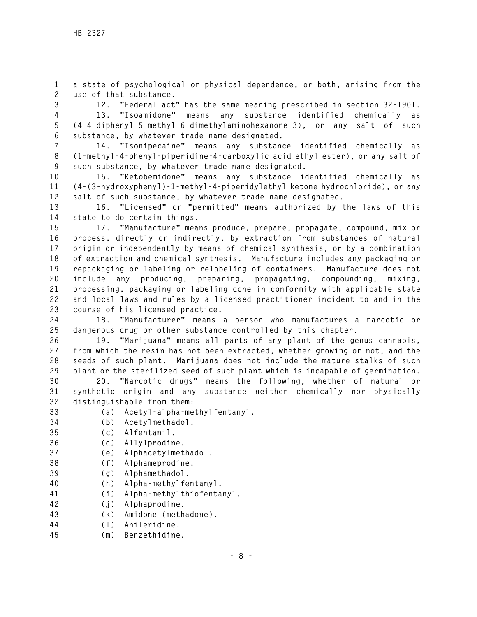**1 a state of psychological or physical dependence, or both, arising from the 2 use of that substance.** 

**3 12. "Federal act" has the same meaning prescribed in section 32-1901. 4 13. "Isoamidone" means any substance identified chemically as 5 (4-4-diphenyl-5-methyl-6-dimethylaminohexanone-3), or any salt of such 6 substance, by whatever trade name designated.** 

**7 14. "Isonipecaine" means any substance identified chemically as 8 (1-methyl-4-phenyl-piperidine-4-carboxylic acid ethyl ester), or any salt of 9 such substance, by whatever trade name designated.** 

**10 15. "Ketobemidone" means any substance identified chemically as 11 (4-(3-hydroxyphenyl)-1-methyl-4-piperidylethyl ketone hydrochloride), or any 12 salt of such substance, by whatever trade name designated.** 

**13 16. "Licensed" or "permitted" means authorized by the laws of this 14 state to do certain things.** 

**15 17. "Manufacture" means produce, prepare, propagate, compound, mix or 16 process, directly or indirectly, by extraction from substances of natural 17 origin or independently by means of chemical synthesis, or by a combination 18 of extraction and chemical synthesis. Manufacture includes any packaging or 19 repackaging or labeling or relabeling of containers. Manufacture does not 20 include any producing, preparing, propagating, compounding, mixing, 21 processing, packaging or labeling done in conformity with applicable state 22 and local laws and rules by a licensed practitioner incident to and in the 23 course of his licensed practice.** 

**24 18. "Manufacturer" means a person who manufactures a narcotic or 25 dangerous drug or other substance controlled by this chapter.** 

**26 19. "Marijuana" means all parts of any plant of the genus cannabis, 27 from which the resin has not been extracted, whether growing or not, and the 28 seeds of such plant. Marijuana does not include the mature stalks of such 29 plant or the sterilized seed of such plant which is incapable of germination.** 

**30 20. "Narcotic drugs" means the following, whether of natural or 31 synthetic origin and any substance neither chemically nor physically 32 distinguishable from them:** 

- **33 (a) Acetyl-alpha-methylfentanyl.**
- **34 (b) Acetylmethadol.**
- **35 (c) Alfentanil.**
- **36 (d) Allylprodine.**
- **37 (e) Alphacetylmethadol.**
- **38 (f) Alphameprodine.**
- **39 (g) Alphamethadol.**
- **40 (h) Alpha-methylfentanyl.**
- **41 (i) Alpha-methylthiofentanyl.**
- **42 (j) Alphaprodine.**
- **43 (k) Amidone (methadone).**
- **44 (l) Anileridine.**
- **45 (m) Benzethidine.**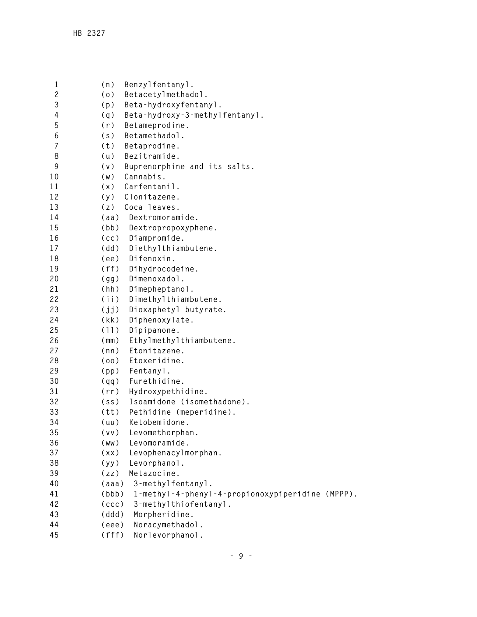| 1<br>$\overline{c}$ | (n)               | Benzylfentanyl.                                  |
|---------------------|-------------------|--------------------------------------------------|
|                     | (0)               | Betacetylmethadol.                               |
| 3                   | (p)               | Beta-hydroxyfentanyl.                            |
| 4                   | (q)               | Beta-hydroxy-3-methylfentanyl.                   |
| 5                   | (r)               | Betameprodine.                                   |
| 6                   | (s)               | Betamethadol.                                    |
| 7                   | (t)               | Betaprodine.                                     |
| 8                   | (u)               | Bezitramide.                                     |
| 9                   | (v)               | Buprenorphine and its salts.                     |
| 10                  | (W)               | Cannabis.                                        |
| 11                  | (x)               | Carfentanil.                                     |
| 12                  | (y)               | Clonitazene.                                     |
| 13                  | (z)               | Coca leaves.                                     |
| 14                  | (aa)              | Dextromoramide.                                  |
| 15                  | (bb)              | Dextropropoxyphene.                              |
| 16                  | (cc)              | Diampromide.                                     |
| 17                  | (dd)              | Diethylthiambutene.                              |
| 18                  | (ee)              | Difenoxin.                                       |
| 19                  | (ff)              | Dihydrocodeine.                                  |
| 20                  | (gg)              | Dimenoxadol.                                     |
| 21                  | (hh)              | Dimepheptanol.                                   |
| 22                  | (iii)             | Dimethylthiambutene.                             |
| 23                  | (jj)              | Dioxaphetyl butyrate.                            |
| 24                  | (kk)              | Diphenoxylate.                                   |
| 25                  | (11)              | Dipipanone.                                      |
| 26                  | (mm)              | Ethylmethylthiambutene.                          |
| 27                  | (nn)              | Etonitazene.                                     |
| 28                  | (00)              | Etoxeridine.                                     |
| 29                  | (pp)              | Fentanyl.                                        |
| 30                  | (pp)              | Furethidine.                                     |
| 31                  | (rr)              | Hydroxypethidine.                                |
| 32                  | (s <sub>S</sub> ) | Isoamidone (isomethadone).                       |
| 33                  | (tt)              | Pethidine (meperidine).                          |
| 34                  | (uu)              | Ketobemidone.                                    |
| 35                  | (vv)              | Levomethorphan.                                  |
| 36                  | (ww)              | Levomoramide.                                    |
| 37                  | (xx)              | Levophenacylmorphan.                             |
| 38                  | (yy)              | Levorphanol.                                     |
| 39                  | (zz)              | Metazocine.                                      |
| 40                  | (aaa)             | 3-methylfentanyl.                                |
| 41                  | (bbb)             | 1-methyl-4-phenyl-4-propionoxypiperidine (MPPP). |
| 42                  | (ccc)             | 3-methylthiofentanyl.                            |
| 43                  | (ddd)             | Morpheridine.                                    |
| 44                  | (eee)             | Noracymethadol.                                  |
| 45                  | (fff)             | Norlevorphanol.                                  |
|                     |                   |                                                  |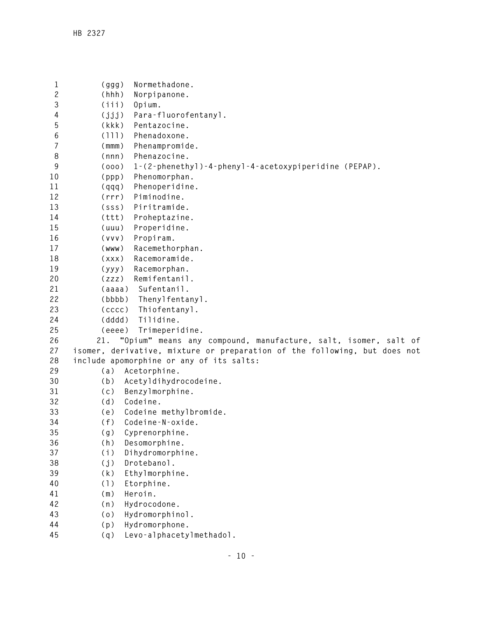```
1 (ggg) Normethadone. 
2 (hhh) Norpipanone. 
3 (iii) Opium. 
4 (jjj) Para-fluorofentanyl. 
5 (kkk) Pentazocine. 
6 (lll) Phenadoxone. 
7 (mmm) Phenampromide. 
8 (nnn) Phenazocine. 
9 (ooo) 1-(2-phenethyl)-4-phenyl-4-acetoxypiperidine (PEPAP). 
10 (ppp) Phenomorphan. 
11 (qqq) Phenoperidine. 
12 (rrr) Piminodine. 
13 (sss) Piritramide. 
14 (ttt) Proheptazine. 
15 (uuu) Properidine. 
16 (vvv) Propiram. 
17 (www) Racemethorphan. 
18 (xxx) Racemoramide. 
19 (yyy) Racemorphan. 
20 (zzz) Remifentanil. 
21 (aaaa) Sufentanil. 
22 (bbbb) Thenylfentanyl. 
23 (cccc) Thiofentanyl. 
24 (dddd) Tilidine. 
25 (eeee) Trimeperidine. 
26 21. "Opium" means any compound, manufacture, salt, isomer, salt of 
27 isomer, derivative, mixture or preparation of the following, but does not 
28 include apomorphine or any of its salts: 
29 (a) Acetorphine. 
30 (b) Acetyldihydrocodeine. 
31 (c) Benzylmorphine. 
32 (d) Codeine. 
33 (e) Codeine methylbromide. 
34 (f) Codeine-N-oxide. 
35 (g) Cyprenorphine. 
36 (h) Desomorphine. 
37 (i) Dihydromorphine. 
38 (j) Drotebanol. 
39 (k) Ethylmorphine. 
40 (l) Etorphine. 
41 (m) Heroin. 
42 (n) Hydrocodone. 
43 (o) Hydromorphinol. 
44 (p) Hydromorphone. 
45 (q) Levo-alphacetylmethadol.
```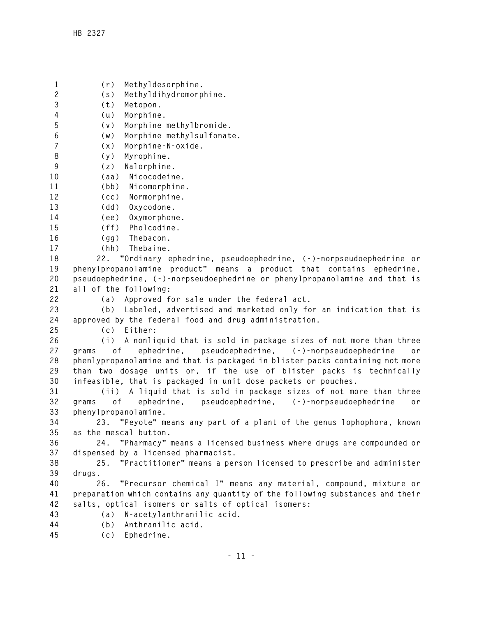**1 (r) Methyldesorphine. 2 (s) Methyldihydromorphine. 3 (t) Metopon. 4 (u) Morphine. 5 (v) Morphine methylbromide. 6 (w) Morphine methylsulfonate. 7 (x) Morphine-N-oxide. 8 (y) Myrophine. 9 (z) Nalorphine. 10 (aa) Nicocodeine. 11 (bb) Nicomorphine. 12 (cc) Normorphine. 13 (dd) Oxycodone. 14 (ee) Oxymorphone. 15 (ff) Pholcodine. 16 (gg) Thebacon. 17 (hh) Thebaine. 18 22. "Ordinary ephedrine, pseudoephedrine, (-)-norpseudoephedrine or 19 phenylpropanolamine product" means a product that contains ephedrine, 20 pseudoephedrine, (-)-norpseudoephedrine or phenylpropanolamine and that is 21 all of the following: 22 (a) Approved for sale under the federal act. 23 (b) Labeled, advertised and marketed only for an indication that is 24 approved by the federal food and drug administration. 25 (c) Either: 26 (i) A nonliquid that is sold in package sizes of not more than three 27 grams of ephedrine, pseudoephedrine, (-)-norpseudoephedrine or 28 phenlypropanolamine and that is packaged in blister packs containing not more 29 than two dosage units or, if the use of blister packs is technically 30 infeasible, that is packaged in unit dose packets or pouches. 31 (ii) A liquid that is sold in package sizes of not more than three 32 grams of ephedrine, pseudoephedrine, (-)-norpseudoephedrine or 33 phenylpropanolamine. 34 23. "Peyote" means any part of a plant of the genus lophophora, known 35 as the mescal button. 36 24. "Pharmacy" means a licensed business where drugs are compounded or 37 dispensed by a licensed pharmacist. 38 25. "Practitioner" means a person licensed to prescribe and administer 39 drugs. 40 26. "Precursor chemical I" means any material, compound, mixture or 41 preparation which contains any quantity of the following substances and their 42 salts, optical isomers or salts of optical isomers: 43 (a) N-acetylanthranilic acid. 44 (b) Anthranilic acid. 45 (c) Ephedrine.**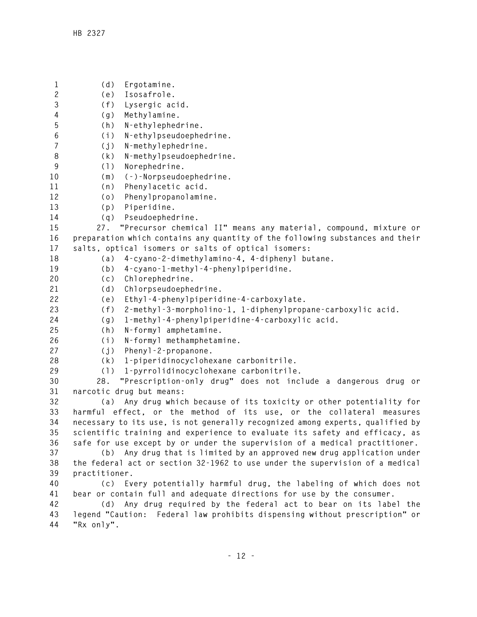**1 (d) Ergotamine. 2 (e) Isosafrole. 3 (f) Lysergic acid. 4 (g) Methylamine. 5 (h) N-ethylephedrine. 6 (i) N-ethylpseudoephedrine. 7 (j) N-methylephedrine. 8 (k) N-methylpseudoephedrine. 9 (l) Norephedrine. 10 (m) (-)-Norpseudoephedrine. 11 (n) Phenylacetic acid. 12 (o) Phenylpropanolamine. 13 (p) Piperidine. 14 (q) Pseudoephedrine. 15 27. "Precursor chemical II" means any material, compound, mixture or 16 preparation which contains any quantity of the following substances and their 17 salts, optical isomers or salts of optical isomers: 18 (a) 4-cyano-2-dimethylamino-4, 4-diphenyl butane. 19 (b) 4-cyano-1-methyl-4-phenylpiperidine. 20 (c) Chlorephedrine. 21 (d) Chlorpseudoephedrine. 22 (e) Ethyl-4-phenylpiperidine-4-carboxylate. 23 (f) 2-methyl-3-morpholino-1, 1-diphenylpropane-carboxylic acid. 24 (g) 1-methyl-4-phenylpiperidine-4-carboxylic acid. 25 (h) N-formyl amphetamine. 26 (i) N-formyl methamphetamine. 27 (j) Phenyl-2-propanone. 28 (k) 1-piperidinocyclohexane carbonitrile. 29 (l) 1-pyrrolidinocyclohexane carbonitrile. 30 28. "Prescription-only drug" does not include a dangerous drug or 31 narcotic drug but means: 32 (a) Any drug which because of its toxicity or other potentiality for 33 harmful effect, or the method of its use, or the collateral measures 34 necessary to its use, is not generally recognized among experts, qualified by 35 scientific training and experience to evaluate its safety and efficacy, as 36 safe for use except by or under the supervision of a medical practitioner. 37 (b) Any drug that is limited by an approved new drug application under 38 the federal act or section 32-1962 to use under the supervision of a medical 39 practitioner. 40 (c) Every potentially harmful drug, the labeling of which does not 41 bear or contain full and adequate directions for use by the consumer. 42 (d) Any drug required by the federal act to bear on its label the 43 legend "Caution: Federal law prohibits dispensing without prescription" or 44 "Rx only".**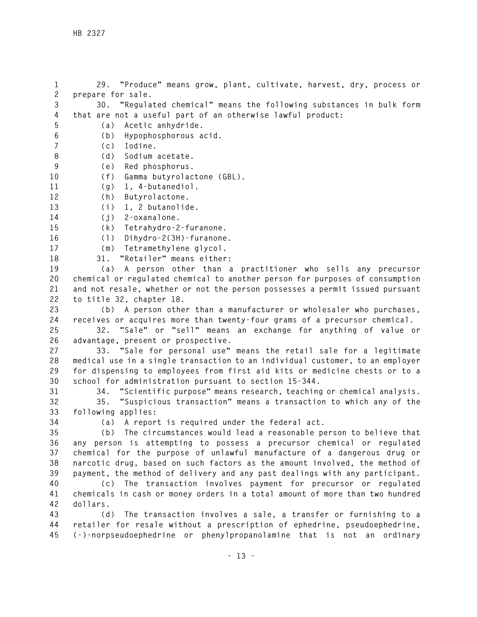**1 29. "Produce" means grow, plant, cultivate, harvest, dry, process or 2 prepare for sale. 3 30. "Regulated chemical" means the following substances in bulk form 4 that are not a useful part of an otherwise lawful product: 5 (a) Acetic anhydride. 6 (b) Hypophosphorous acid. 7 (c) Iodine. 8 (d) Sodium acetate. 9 (e) Red phosphorus. 10 (f) Gamma butyrolactone (GBL). 11 (g) 1, 4-butanediol. 12 (h) Butyrolactone. 13 (i) 1, 2 butanolide. 14 (j) 2-oxanalone. 15 (k) Tetrahydro-2-furanone. 16 (l) Dihydro-2(3H)-furanone. 17 (m) Tetramethylene glycol. 18 31. "Retailer" means either: 19 (a) A person other than a practitioner who sells any precursor 20 chemical or regulated chemical to another person for purposes of consumption 21 and not resale, whether or not the person possesses a permit issued pursuant 22 to title 32, chapter 18. 23 (b) A person other than a manufacturer or wholesaler who purchases, 24 receives or acquires more than twenty-four grams of a precursor chemical. 25 32. "Sale" or "sell" means an exchange for anything of value or 26 advantage, present or prospective. 27 33. "Sale for personal use" means the retail sale for a legitimate 28 medical use in a single transaction to an individual customer, to an employer 29 for dispensing to employees from first aid kits or medicine chests or to a 30 school for administration pursuant to section 15-344. 31 34. "Scientific purpose" means research, teaching or chemical analysis. 32 35. "Suspicious transaction" means a transaction to which any of the 33 following applies: 34 (a) A report is required under the federal act. 35 (b) The circumstances would lead a reasonable person to believe that 36 any person is attempting to possess a precursor chemical or regulated 37 chemical for the purpose of unlawful manufacture of a dangerous drug or 38 narcotic drug, based on such factors as the amount involved, the method of 39 payment, the method of delivery and any past dealings with any participant. 40 (c) The transaction involves payment for precursor or regulated 41 chemicals in cash or money orders in a total amount of more than two hundred 42 dollars. 43 (d) The transaction involves a sale, a transfer or furnishing to a 44 retailer for resale without a prescription of ephedrine, pseudoephedrine, 45 (-)-norpseudoephedrine or phenylpropanolamine that is not an ordinary**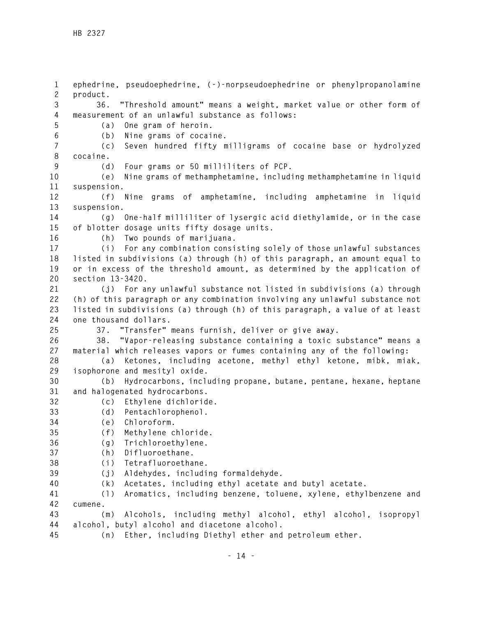**1 ephedrine, pseudoephedrine, (-)-norpseudoephedrine or phenylpropanolamine 2 product. 3 36. "Threshold amount" means a weight, market value or other form of 4 measurement of an unlawful substance as follows: 5 (a) One gram of heroin. 6 (b) Nine grams of cocaine. 7 (c) Seven hundred fifty milligrams of cocaine base or hydrolyzed 8 cocaine. 9 (d) Four grams or 50 milliliters of PCP. 10 (e) Nine grams of methamphetamine, including methamphetamine in liquid 11 suspension. 12 (f) Nine grams of amphetamine, including amphetamine in liquid 13 suspension. 14 (g) One-half milliliter of lysergic acid diethylamide, or in the case 15 of blotter dosage units fifty dosage units. 16 (h) Two pounds of marijuana. 17 (i) For any combination consisting solely of those unlawful substances 18 listed in subdivisions (a) through (h) of this paragraph, an amount equal to 19 or in excess of the threshold amount, as determined by the application of 20 section 13-3420. 21 (j) For any unlawful substance not listed in subdivisions (a) through 22 (h) of this paragraph or any combination involving any unlawful substance not 23 listed in subdivisions (a) through (h) of this paragraph, a value of at least 24 one thousand dollars. 25 37. "Transfer" means furnish, deliver or give away. 26 38. "Vapor-releasing substance containing a toxic substance" means a 27 material which releases vapors or fumes containing any of the following: 28 (a) Ketones, including acetone, methyl ethyl ketone, mibk, miak, 29 isophorone and mesityl oxide. 30 (b) Hydrocarbons, including propane, butane, pentane, hexane, heptane 31 and halogenated hydrocarbons. 32 (c) Ethylene dichloride. 33 (d) Pentachlorophenol. 34 (e) Chloroform. 35 (f) Methylene chloride. 36 (g) Trichloroethylene. 37 (h) Difluoroethane. 38 (i) Tetrafluoroethane. 39 (j) Aldehydes, including formaldehyde. 40 (k) Acetates, including ethyl acetate and butyl acetate. 41 (l) Aromatics, including benzene, toluene, xylene, ethylbenzene and 42 cumene. 43 (m) Alcohols, including methyl alcohol, ethyl alcohol, isopropyl 44 alcohol, butyl alcohol and diacetone alcohol.** 

**45 (n) Ether, including Diethyl ether and petroleum ether.**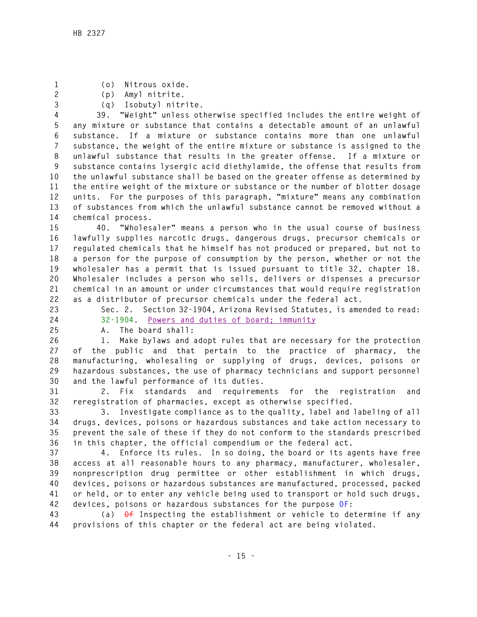- **1 (o) Nitrous oxide.**
- **2 (p) Amyl nitrite.**
- **3 (q) Isobutyl nitrite.**

**4 39. "Weight" unless otherwise specified includes the entire weight of 5 any mixture or substance that contains a detectable amount of an unlawful 6 substance. If a mixture or substance contains more than one unlawful 7 substance, the weight of the entire mixture or substance is assigned to the 8 unlawful substance that results in the greater offense. If a mixture or 9 substance contains lysergic acid diethylamide, the offense that results from 10 the unlawful substance shall be based on the greater offense as determined by 11 the entire weight of the mixture or substance or the number of blotter dosage 12 units. For the purposes of this paragraph, "mixture" means any combination 13 of substances from which the unlawful substance cannot be removed without a 14 chemical process.** 

**15 40. "Wholesaler" means a person who in the usual course of business 16 lawfully supplies narcotic drugs, dangerous drugs, precursor chemicals or 17 regulated chemicals that he himself has not produced or prepared, but not to 18 a person for the purpose of consumption by the person, whether or not the 19 wholesaler has a permit that is issued pursuant to title 32, chapter 18. 20 Wholesaler includes a person who sells, delivers or dispenses a precursor 21 chemical in an amount or under circumstances that would require registration 22 as a distributor of precursor chemicals under the federal act.** 

- 
- 

**23 Sec. 2. Section 32-1904, Arizona Revised Statutes, is amended to read: 24 32-1904. Powers and duties of board; immunity**

**25 A. The board shall:** 

**26 1. Make bylaws and adopt rules that are necessary for the protection 27 of the public and that pertain to the practice of pharmacy, the 28 manufacturing, wholesaling or supplying of drugs, devices, poisons or 29 hazardous substances, the use of pharmacy technicians and support personnel 30 and the lawful performance of its duties.** 

**31 2. Fix standards and requirements for the registration and 32 reregistration of pharmacies, except as otherwise specified.** 

**33 3. Investigate compliance as to the quality, label and labeling of all 34 drugs, devices, poisons or hazardous substances and take action necessary to 35 prevent the sale of these if they do not conform to the standards prescribed 36 in this chapter, the official compendium or the federal act.** 

**37 4. Enforce its rules. In so doing, the board or its agents have free 38 access at all reasonable hours to any pharmacy, manufacturer, wholesaler, 39 nonprescription drug permittee or other establishment in which drugs, 40 devices, poisons or hazardous substances are manufactured, processed, packed 41 or held, or to enter any vehicle being used to transport or hold such drugs, 42 devices, poisons or hazardous substances for the purpose OF:** 

**43 (a) Of Inspecting the establishment or vehicle to determine if any 44 provisions of this chapter or the federal act are being violated.**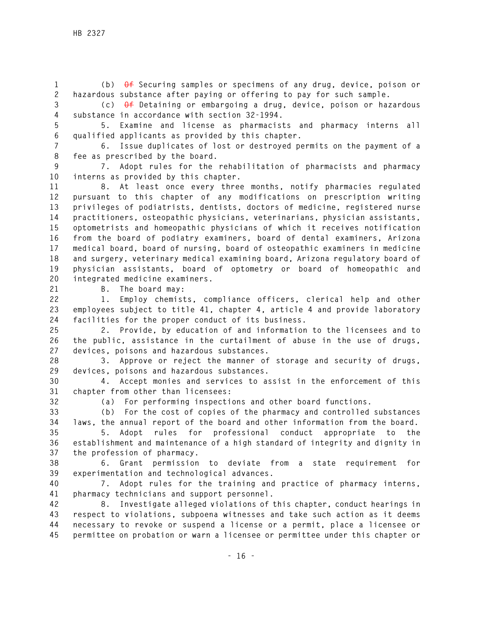**1 (b) Of Securing samples or specimens of any drug, device, poison or 2 hazardous substance after paying or offering to pay for such sample.** 

**3 (c) Of Detaining or embargoing a drug, device, poison or hazardous 4 substance in accordance with section 32-1994.** 

**5 5. Examine and license as pharmacists and pharmacy interns all 6 qualified applicants as provided by this chapter.** 

**7 6. Issue duplicates of lost or destroyed permits on the payment of a 8 fee as prescribed by the board.** 

**9 7. Adopt rules for the rehabilitation of pharmacists and pharmacy 10 interns as provided by this chapter.** 

**11 8. At least once every three months, notify pharmacies regulated 12 pursuant to this chapter of any modifications on prescription writing 13 privileges of podiatrists, dentists, doctors of medicine, registered nurse 14 practitioners, osteopathic physicians, veterinarians, physician assistants, 15 optometrists and homeopathic physicians of which it receives notification 16 from the board of podiatry examiners, board of dental examiners, Arizona 17 medical board, board of nursing, board of osteopathic examiners in medicine 18 and surgery, veterinary medical examining board, Arizona regulatory board of 19 physician assistants, board of optometry or board of homeopathic and 20 integrated medicine examiners.** 

**21 B. The board may:** 

**22 1. Employ chemists, compliance officers, clerical help and other 23 employees subject to title 41, chapter 4, article 4 and provide laboratory 24 facilities for the proper conduct of its business.** 

**25 2. Provide, by education of and information to the licensees and to 26 the public, assistance in the curtailment of abuse in the use of drugs, 27 devices, poisons and hazardous substances.** 

**28 3. Approve or reject the manner of storage and security of drugs, 29 devices, poisons and hazardous substances.** 

**30 4. Accept monies and services to assist in the enforcement of this 31 chapter from other than licensees:** 

**32 (a) For performing inspections and other board functions.** 

**33 (b) For the cost of copies of the pharmacy and controlled substances 34 laws, the annual report of the board and other information from the board.** 

**35 5. Adopt rules for professional conduct appropriate to the 36 establishment and maintenance of a high standard of integrity and dignity in 37 the profession of pharmacy.** 

**38 6. Grant permission to deviate from a state requirement for 39 experimentation and technological advances.** 

**40 7. Adopt rules for the training and practice of pharmacy interns, 41 pharmacy technicians and support personnel.** 

**42 8. Investigate alleged violations of this chapter, conduct hearings in 43 respect to violations, subpoena witnesses and take such action as it deems 44 necessary to revoke or suspend a license or a permit, place a licensee or 45 permittee on probation or warn a licensee or permittee under this chapter or**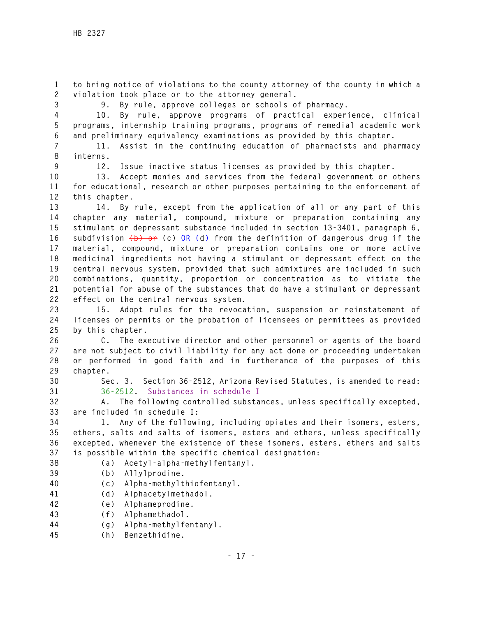**1 to bring notice of violations to the county attorney of the county in which a 2 violation took place or to the attorney general.** 

**3 9. By rule, approve colleges or schools of pharmacy.** 

**4 10. By rule, approve programs of practical experience, clinical 5 programs, internship training programs, programs of remedial academic work 6 and preliminary equivalency examinations as provided by this chapter.** 

**7 11. Assist in the continuing education of pharmacists and pharmacy 8 interns.** 

**9 12. Issue inactive status licenses as provided by this chapter.** 

**10 13. Accept monies and services from the federal government or others 11 for educational, research or other purposes pertaining to the enforcement of 12 this chapter.** 

**13 14. By rule, except from the application of all or any part of this 14 chapter any material, compound, mixture or preparation containing any 15 stimulant or depressant substance included in section 13-3401, paragraph 6, 16 subdivision (b) or (c) OR (d) from the definition of dangerous drug if the 17 material, compound, mixture or preparation contains one or more active 18 medicinal ingredients not having a stimulant or depressant effect on the 19 central nervous system, provided that such admixtures are included in such 20 combinations, quantity, proportion or concentration as to vitiate the 21 potential for abuse of the substances that do have a stimulant or depressant 22 effect on the central nervous system.** 

**23 15. Adopt rules for the revocation, suspension or reinstatement of 24 licenses or permits or the probation of licensees or permittees as provided 25 by this chapter.** 

**26 C. The executive director and other personnel or agents of the board 27 are not subject to civil liability for any act done or proceeding undertaken 28 or performed in good faith and in furtherance of the purposes of this 29 chapter.** 

**30 Sec. 3. Section 36-2512, Arizona Revised Statutes, is amended to read: 31 36-2512. Substances in schedule I**

**32 A. The following controlled substances, unless specifically excepted, 33 are included in schedule I:** 

**34 1. Any of the following, including opiates and their isomers, esters, 35 ethers, salts and salts of isomers, esters and ethers, unless specifically 36 excepted, whenever the existence of these isomers, esters, ethers and salts 37 is possible within the specific chemical designation:** 

- **38 (a) Acetyl-alpha-methylfentanyl.**
- **39 (b) Allylprodine.**
- **40 (c) Alpha-methylthiofentanyl.**
- **41 (d) Alphacetylmethadol.**
- **42 (e) Alphameprodine.**
- **43 (f) Alphamethadol.**
- **44 (g) Alpha-methylfentanyl.**
- **45 (h) Benzethidine.**

 **- 17 -**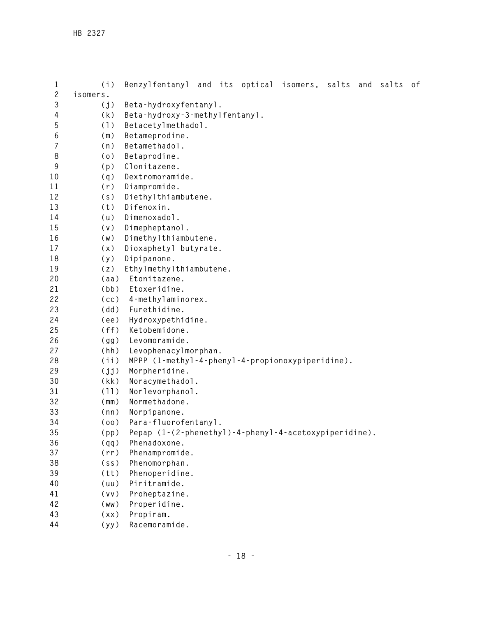| 1              | (i)               | Benzylfentanyl and its optical isomers, salts and<br>salts of |
|----------------|-------------------|---------------------------------------------------------------|
| $\mathbf{2}$   | isomers.          |                                                               |
| 3              | (j)               | Beta-hydroxyfentanyl.                                         |
| 4              | (k)               | Beta-hydroxy-3-methylfentanyl.                                |
| 5              | (1)               | Betacetylmethadol.                                            |
| 6              | (m)               | Betameprodine.                                                |
| $\overline{7}$ | (n)               | Betamethadol.                                                 |
| 8              | (0)               | Betaprodine.                                                  |
| 9              | (p)               | Clonitazene.                                                  |
| 10             | (q)               | Dextromoramide.                                               |
| 11             | (r)               | Diampromide.                                                  |
| 12             | (s)               | Diethylthiambutene.                                           |
| 13             | (t)               | Difenoxin.                                                    |
| 14             | (u)               | Dimenoxadol.                                                  |
| 15             | (v)               | Dimepheptanol.                                                |
| 16             | (w)               | Dimethylthiambutene.                                          |
| 17             | (x)               | Dioxaphetyl butyrate.                                         |
| 18             | (y)               | Dipipanone.                                                   |
| 19             | (z)               | Ethylmethylthiambutene.                                       |
| 20             | (aa)              | Etonitazene.                                                  |
| 21             | (bb)              | Etoxeridine.                                                  |
| 22             | (cc)              | 4-methylaminorex.                                             |
| 23             | (dd)              | Furethidine.                                                  |
| 24             | (ee)              | Hydroxypethidine.                                             |
| 25             | (ff)              | Ketobemidone.                                                 |
| 26             | (gg)              | Levomoramide.                                                 |
| 27             | (hh)              | Levophenacylmorphan.                                          |
| 28             | (iii)             | MPPP (1-methyl-4-phenyl-4-propionoxypiperidine).              |
| 29             | (jj)              | Morpheridine.                                                 |
| 30             | (kk)              | Noracymethadol.                                               |
| 31             | (11)              | Norlevorphanol.                                               |
| 32             | (mm)              | Normethadone.                                                 |
| 33             | (nn)              | Norpipanone.                                                  |
| 34             | (00)              | Para-fluorofentanyl.                                          |
| 35             | (pp)              | Pepap (1-(2-phenethyl)-4-phenyl-4-acetoxypiperidine).         |
| 36             | (qq)              | Phenadoxone.                                                  |
| 37             | (rr)              | Phenampromide.                                                |
| 38             | (s <sub>S</sub> ) | Phenomorphan.                                                 |
| 39             | (tt)              | Phenoperidine.                                                |
| 40             | (uu)              | Piritramide.                                                  |
| 41             | (vv)              | Proheptazine.                                                 |
| 42             | (ww)              | Properidine.                                                  |
| 43             | (xx)              | Propiram.                                                     |
| 44             | (yy)              | Racemoramide.                                                 |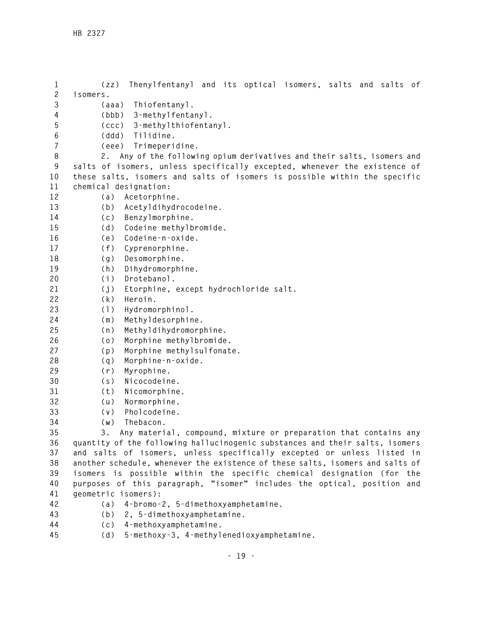**1 (zz) Thenylfentanyl and its optical isomers, salts and salts of 2 isomers. 3 (aaa) Thiofentanyl. 4 (bbb) 3-methylfentanyl. 5 (ccc) 3-methylthiofentanyl. 6 (ddd) Tilidine. 7 (eee) Trimeperidine. 8 2. Any of the following opium derivatives and their salts, isomers and 9 salts of isomers, unless specifically excepted, whenever the existence of 10 these salts, isomers and salts of isomers is possible within the specific 11 chemical designation: 12 (a) Acetorphine. 13 (b) Acetyldihydrocodeine. 14 (c) Benzylmorphine. 15 (d) Codeine methylbromide. 16 (e) Codeine-n-oxide. 17 (f) Cyprenorphine. 18 (g) Desomorphine. 19 (h) Dihydromorphine. 20 (i) Drotebanol. 21 (j) Etorphine, except hydrochloride salt. 22 (k) Heroin. 23 (l) Hydromorphinol. 24 (m) Methyldesorphine. 25 (n) Methyldihydromorphine. 26 (o) Morphine methylbromide. 27 (p) Morphine methylsulfonate. 28 (q) Morphine-n-oxide. 29 (r) Myrophine. 30 (s) Nicocodeine. 31 (t) Nicomorphine. 32 (u) Normorphine. 33 (v) Pholcodeine. 34 (w) Thebacon. 35 3. Any material, compound, mixture or preparation that contains any 36 quantity of the following hallucinogenic substances and their salts, isomers 37 and salts of isomers, unless specifically excepted or unless listed in 38 another schedule, whenever the existence of these salts, isomers and salts of 39 isomers is possible within the specific chemical designation (for the 40 purposes of this paragraph, "isomer" includes the optical, position and 41 geometric isomers): 42 (a) 4-bromo-2, 5-dimethoxyamphetamine. 43 (b) 2, 5-dimethoxyamphetamine. 44 (c) 4-methoxyamphetamine. 45 (d) 5-methoxy-3, 4-methylenedioxyamphetamine.**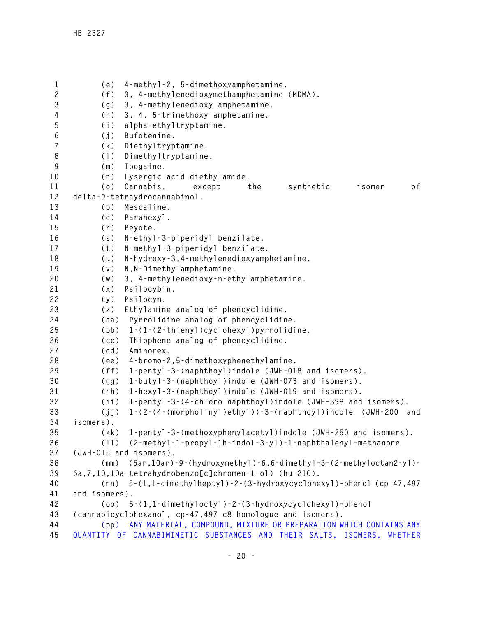**1 (e) 4-methyl-2, 5-dimethoxyamphetamine. 2 (f) 3, 4-methylenedioxymethamphetamine (MDMA). 3 (g) 3, 4-methylenedioxy amphetamine. 4 (h) 3, 4, 5-trimethoxy amphetamine. 5 (i) alpha-ethyltryptamine. 6 (j) Bufotenine. 7 (k) Diethyltryptamine. 8 (l) Dimethyltryptamine. 9 (m) Ibogaine. 10 (n) Lysergic acid diethylamide. 11 (o) Cannabis, except the synthetic isomer of 12 delta-9-tetraydrocannabinol. 13 (p) Mescaline. 14 (q) Parahexyl. 15 (r) Peyote. 16 (s) N-ethyl-3-piperidyl benzilate. 17 (t) N-methyl-3-piperidyl benzilate. 18 (u) N-hydroxy-3,4-methylenedioxyamphetamine. 19 (v) N,N-Dimethylamphetamine. 20 (w) 3, 4-methylenedioxy-n-ethylamphetamine. 21 (x) Psilocybin. 22 (y) Psilocyn. 23 (z) Ethylamine analog of phencyclidine. 24 (aa) Pyrrolidine analog of phencyclidine. 25 (bb) 1-(1-(2-thienyl)cyclohexyl)pyrrolidine. 26 (cc) Thiophene analog of phencyclidine. 27 (dd) Aminorex. 28 (ee) 4-bromo-2,5-dimethoxyphenethylamine. 29 (ff) 1-pentyl-3-(naphthoyl)indole (JWH-018 and isomers). 30 (gg) 1-butyl-3-(naphthoyl)indole (JWH-073 and isomers). 31 (hh) 1-hexyl-3-(naphthoyl)indole (JWH-019 and isomers). 32 (ii) 1-pentyl-3-(4-chloro naphthoyl)indole (JWH-398 and isomers). 33 (jj) 1-(2-(4-(morpholinyl)ethyl))-3-(naphthoyl)indole (JWH-200 and 34 isomers). 35 (kk) 1-pentyl-3-(methoxyphenylacetyl)indole (JWH-250 and isomers). 36 (ll) (2-methyl-1-propyl-1h-indol-3-yl)-1-naphthalenyl-methanone 37 (JWH-015 and isomers). 38 (mm) (6ar,10ar)-9-(hydroxymethyl)-6,6-dimethyl-3-(2-methyloctan2-yl)- 39 6a,7,10,10a-tetrahydrobenzo[c]chromen-1-ol) (hu-210). 40 (nn) 5-(1,1-dimethylheptyl)-2-(3-hydroxycyclohexyl)-phenol (cp 47,497 41 and isomers). 42 (oo) 5-(1,1-dimethyloctyl)-2-(3-hydroxycyclohexyl)-phenol 43 (cannabicyclohexanol, cp-47,497 c8 homologue and isomers). 44 (pp) ANY MATERIAL, COMPOUND, MIXTURE OR PREPARATION WHICH CONTAINS ANY 45 QUANTITY OF CANNABIMIMETIC SUBSTANCES AND THEIR SALTS, ISOMERS, WHETHER**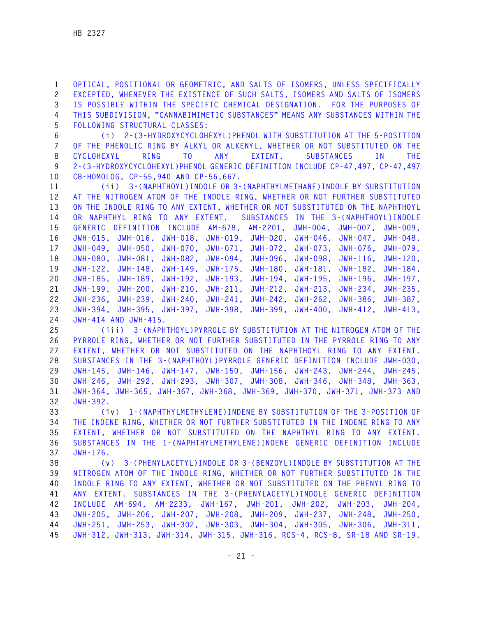**1 OPTICAL, POSITIONAL OR GEOMETRIC, AND SALTS OF ISOMERS, UNLESS SPECIFICALLY 2 EXCEPTED, WHENEVER THE EXISTENCE OF SUCH SALTS, ISOMERS AND SALTS OF ISOMERS 3 IS POSSIBLE WITHIN THE SPECIFIC CHEMICAL DESIGNATION. FOR THE PURPOSES OF 4 THIS SUBDIVISION, "CANNABIMIMETIC SUBSTANCES" MEANS ANY SUBSTANCES WITHIN THE 5 FOLLOWING STRUCTURAL CLASSES:** 

**6 (i) 2-(3-HYDROXYCYCLOHEXYL)PHENOL WITH SUBSTITUTION AT THE 5-POSITION 7 OF THE PHENOLIC RING BY ALKYL OR ALKENYL, WHETHER OR NOT SUBSTITUTED ON THE 8 CYCLOHEXYL RING TO ANY EXTENT. SUBSTANCES IN THE 9 2-(3-HYDROXYCYCLOHEXYL)PHENOL GENERIC DEFINITION INCLUDE CP-47,497, CP-47,497 10 C8-HOMOLOG, CP-55,940 AND CP-56,667.** 

**11 (ii) 3-(NAPHTHOYL)INDOLE OR 3-(NAPHTHYLMETHANE)INDOLE BY SUBSTITUTION 12 AT THE NITROGEN ATOM OF THE INDOLE RING, WHETHER OR NOT FURTHER SUBSTITUTED 13 ON THE INDOLE RING TO ANY EXTENT, WHETHER OR NOT SUBSTITUTED ON THE NAPHTHOYL 14 OR NAPHTHYL RING TO ANY EXTENT. SUBSTANCES IN THE 3-(NAPHTHOYL)INDOLE 15 GENERIC DEFINITION INCLUDE AM-678, AM-2201, JWH-004, JWH-007, JWH-009, 16 JWH-015, JWH-016, JWH-018, JWH-019, JWH-020, JWH-046, JWH-047, JWH-048, 17 JWH-049, JWH-050, JWH-070, JWH-071, JWH-072, JWH-073, JWH-076, JWH-079, 18 JWH-080, JWH-081, JWH-082, JWH-094, JWH-096, JWH-098, JWH-116, JWH-120, 19 JWH-122, JWH-148, JWH-149, JWH-175, JWH-180, JWH-181, JWH-182, JWH-184, 20 JWH-185, JWH-189, JWH-192, JWH-193, JWH-194, JWH-195, JWH-196, JWH-197, 21 JWH-199, JWH-200, JWH-210, JWH-211, JWH-212, JWH-213, JWH-234, JWH-235, 22 JWH-236, JWH-239, JWH-240, JWH-241, JWH-242, JWH-262, JWH-386, JWH-387, 23 JWH-394, JWH-395, JWH-397, JWH-398, JWH-399, JWH-400, JWH-412, JWH-413, 24 JWH-414 AND JWH-415.** 

**25 (iii) 3-(NAPHTHOYL)PYRROLE BY SUBSTITUTION AT THE NITROGEN ATOM OF THE 26 PYRROLE RING, WHETHER OR NOT FURTHER SUBSTITUTED IN THE PYRROLE RING TO ANY 27 EXTENT, WHETHER OR NOT SUBSTITUTED ON THE NAPHTHOYL RING TO ANY EXTENT. 28 SUBSTANCES IN THE 3-(NAPHTHOYL)PYRROLE GENERIC DEFINITION INCLUDE JWH-030, 29 JWH-145, JWH-146, JWH-147, JWH-150, JWH-156, JWH-243, JWH-244, JWH-245, 30 JWH-246, JWH-292, JWH-293, JWH-307, JWH-308, JWH-346, JWH-348, JWH-363, 31 JWH-364, JWH-365, JWH-367, JWH-368, JWH-369, JWH-370, JWH-371, JWH-373 AND 32 JWH-392.** 

**33 (iv) 1-(NAPHTHYLMETHYLENE)INDENE BY SUBSTITUTION OF THE 3-POSITION OF 34 THE INDENE RING, WHETHER OR NOT FURTHER SUBSTITUTED IN THE INDENE RING TO ANY 35 EXTENT, WHETHER OR NOT SUBSTITUTED ON THE NAPHTHYL RING TO ANY EXTENT. 36 SUBSTANCES IN THE 1-(NAPHTHYLMETHYLENE)INDENE GENERIC DEFINITION INCLUDE 37 JWH-176.** 

**38 (v) 3-(PHENYLACETYL)INDOLE OR 3-(BENZOYL)INDOLE BY SUBSTITUTION AT THE 39 NITROGEN ATOM OF THE INDOLE RING, WHETHER OR NOT FURTHER SUBSTITUTED IN THE 40 INDOLE RING TO ANY EXTENT, WHETHER OR NOT SUBSTITUTED ON THE PHENYL RING TO 41 ANY EXTENT. SUBSTANCES IN THE 3-(PHENYLACETYL)INDOLE GENERIC DEFINITION 42 INCLUDE AM-694, AM-2233, JWH-167, JWH-201, JWH-202, JWH-203, JWH-204, 43 JWH-205, JWH-206, JWH-207, JWH-208, JWH-209, JWH-237, JWH-248, JWH-250, 44 JWH-251, JWH-253, JWH-302, JWH-303, JWH-304, JWH-305, JWH-306, JWH-311, 45 JWH-312, JWH-313, JWH-314, JWH-315, JWH-316, RCS-4, RCS-8, SR-18 AND SR-19.**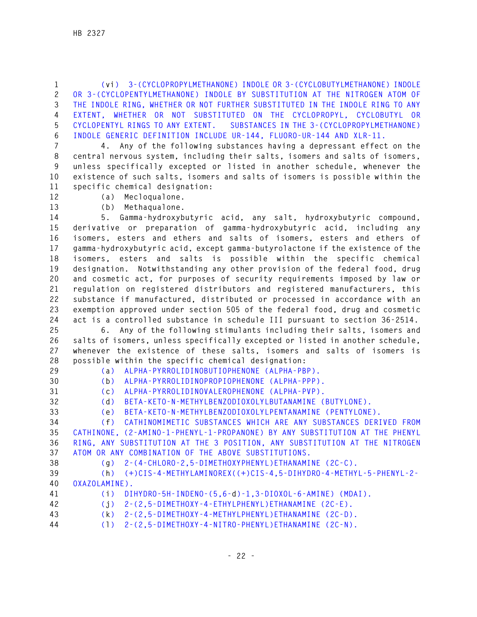**1 (vi) 3-(CYCLOPROPYLMETHANONE) INDOLE OR 3-(CYCLOBUTYLMETHANONE) INDOLE 2 OR 3-(CYCLOPENTYLMETHANONE) INDOLE BY SUBSTITUTION AT THE NITROGEN ATOM OF 3 THE INDOLE RING, WHETHER OR NOT FURTHER SUBSTITUTED IN THE INDOLE RING TO ANY 4 EXTENT, WHETHER OR NOT SUBSTITUTED ON THE CYCLOPROPYL, CYCLOBUTYL OR 5 CYCLOPENTYL RINGS TO ANY EXTENT. SUBSTANCES IN THE 3-(CYCLOPROPYLMETHANONE) 6 INDOLE GENERIC DEFINITION INCLUDE UR-144, FLUORO-UR-144 AND XLR-11.** 

**7 4. Any of the following substances having a depressant effect on the 8 central nervous system, including their salts, isomers and salts of isomers, 9 unless specifically excepted or listed in another schedule, whenever the 10 existence of such salts, isomers and salts of isomers is possible within the 11 specific chemical designation:** 

**12 (a) Mecloqualone.** 

**13 (b) Methaqualone.** 

**14 5. Gamma-hydroxybutyric acid, any salt, hydroxybutyric compound, 15 derivative or preparation of gamma-hydroxybutyric acid, including any 16 isomers, esters and ethers and salts of isomers, esters and ethers of 17 gamma-hydroxybutyric acid, except gamma-butyrolactone if the existence of the 18 isomers, esters and salts is possible within the specific chemical 19 designation. Notwithstanding any other provision of the federal food, drug 20 and cosmetic act, for purposes of security requirements imposed by law or 21 regulation on registered distributors and registered manufacturers, this 22 substance if manufactured, distributed or processed in accordance with an 23 exemption approved under section 505 of the federal food, drug and cosmetic 24 act is a controlled substance in schedule III pursuant to section 36-2514.** 

**25 6. Any of the following stimulants including their salts, isomers and 26 salts of isomers, unless specifically excepted or listed in another schedule, 27 whenever the existence of these salts, isomers and salts of isomers is 28 possible within the specific chemical designation:** 

- 
- **29 (a) ALPHA-PYRROLIDINOBUTIOPHENONE (ALPHA-PBP). 30 (b) ALPHA-PYRROLIDINOPROPIOPHENONE (ALPHA-PPP).**
- 

**31 (c) ALPHA-PYRROLIDINOVALEROPHENONE (ALPHA-PVP).** 

**32 (d) BETA-KETO-N-METHYLBENZODIOXOLYLBUTANAMINE (BUTYLONE).** 

**33 (e) BETA-KETO-N-METHYLBENZODIOXOLYLPENTANAMINE (PENTYLONE).** 

**34 (f) CATHINOMIMETIC SUBSTANCES WHICH ARE ANY SUBSTANCES DERIVED FROM 35 CATHINONE, (2-AMINO-1-PHENYL-1-PROPANONE) BY ANY SUBSTITUTION AT THE PHENYL 36 RING, ANY SUBSTITUTION AT THE 3 POSITION, ANY SUBSTITUTION AT THE NITROGEN 37 ATOM OR ANY COMBINATION OF THE ABOVE SUBSTITUTIONS.** 

- 
- **38 (g) 2-(4-CHLORO-2,5-DIMETHOXYPHENYL)ETHANAMINE (2C-C).**

**39 (h) (+)CIS-4-METHYLAMINOREX((+)CIS-4,5-DIHYDRO-4-METHYL-5-PHENYL-2- 40 OXAZOLAMINE).** 

- 
- **41 (i) DIHYDRO-5H-INDENO-(5,6-d)-1,3-DIOXOL-6-AMINE) (MDAI).** 
	- **42 (j) 2-(2,5-DIMETHOXY-4-ETHYLPHENYL)ETHANAMINE (2C-E).**
	- **43 (k) 2-(2,5-DIMETHOXY-4-METHYLPHENYL)ETHANAMINE (2C-D).**
	- **44 (l) 2-(2,5-DIMETHOXY-4-NITRO-PHENYL)ETHANAMINE (2C-N).**